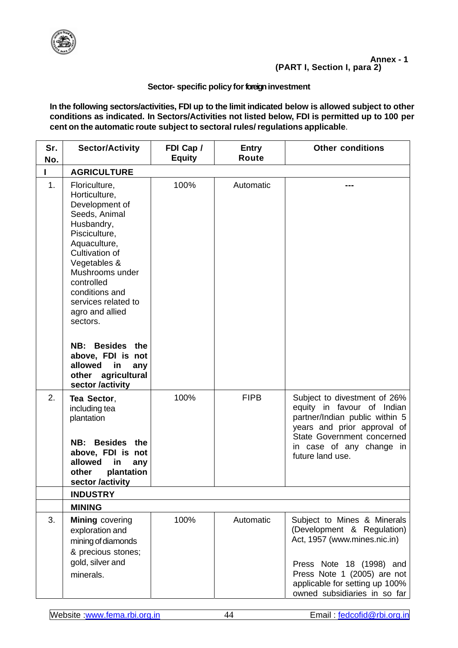

## **Sector- specific policy for foreign investment**

**In the following sectors/activities, FDI up to the limit indicated below is allowed subject to other conditions as indicated. In Sectors/Activities not listed below, FDI is permitted up to 100 per cent on the automatic route subject to sectoral rules/ regulations applicable**.

| Sr.<br>No. | <b>Sector/Activity</b>                                                                                                                                                                                                                                                                                                                                                   | FDI Cap /<br><b>Equity</b> | <b>Entry</b><br><b>Route</b> | <b>Other conditions</b>                                                                                                                                                                                                |
|------------|--------------------------------------------------------------------------------------------------------------------------------------------------------------------------------------------------------------------------------------------------------------------------------------------------------------------------------------------------------------------------|----------------------------|------------------------------|------------------------------------------------------------------------------------------------------------------------------------------------------------------------------------------------------------------------|
|            | <b>AGRICULTURE</b>                                                                                                                                                                                                                                                                                                                                                       |                            |                              |                                                                                                                                                                                                                        |
| 1.         | Floriculture,<br>Horticulture,<br>Development of<br>Seeds, Animal<br>Husbandry,<br>Pisciculture,<br>Aquaculture,<br>Cultivation of<br>Vegetables &<br>Mushrooms under<br>controlled<br>conditions and<br>services related to<br>agro and allied<br>sectors.<br>Besides the<br>NB:<br>above, FDI is not<br>allowed<br>in<br>any<br>other agricultural<br>sector /activity | 100%                       | Automatic                    |                                                                                                                                                                                                                        |
| 2.         | Tea Sector,<br>including tea<br>plantation<br>NB:<br>Besides the<br>above, FDI is not<br>allowed<br>in<br>any<br>plantation<br>other<br>sector /activity                                                                                                                                                                                                                 | 100%                       | <b>FIPB</b>                  | Subject to divestment of 26%<br>equity in favour of Indian<br>partner/Indian public within 5<br>years and prior approval of<br>State Government concerned<br>in case of any change in<br>future land use.              |
|            | <b>INDUSTRY</b><br><b>MINING</b>                                                                                                                                                                                                                                                                                                                                         |                            |                              |                                                                                                                                                                                                                        |
| 3.         | <b>Mining covering</b><br>exploration and<br>mining of diamonds<br>& precious stones;<br>gold, silver and<br>minerals.                                                                                                                                                                                                                                                   | 100%                       | Automatic                    | Subject to Mines & Minerals<br>(Development & Regulation)<br>Act, 1957 (www.mines.nic.in)<br>Press Note 18 (1998) and<br>Press Note 1 (2005) are not<br>applicable for setting up 100%<br>owned subsidiaries in so far |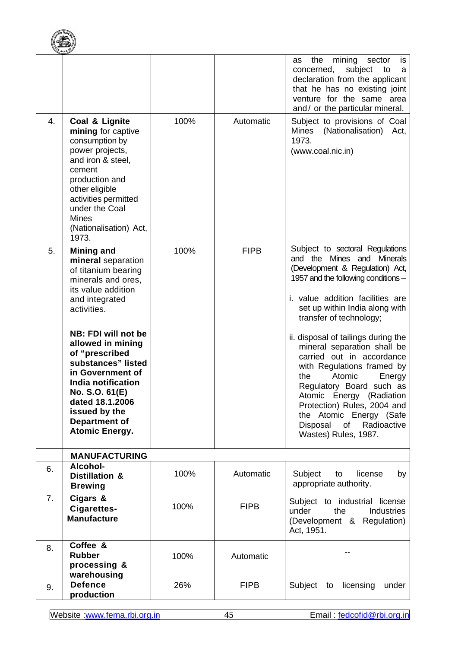

|    |                                                                                                                                                                                                                                                                                                                                                                                  |      |             | the<br>mining<br>sector<br>is<br>as<br>concerned,<br>subject<br>to<br>a<br>declaration from the applicant<br>that he has no existing joint<br>venture for the same area<br>and/ or the particular mineral.                                                                                                                                                                                                                                                                                                                                                                   |
|----|----------------------------------------------------------------------------------------------------------------------------------------------------------------------------------------------------------------------------------------------------------------------------------------------------------------------------------------------------------------------------------|------|-------------|------------------------------------------------------------------------------------------------------------------------------------------------------------------------------------------------------------------------------------------------------------------------------------------------------------------------------------------------------------------------------------------------------------------------------------------------------------------------------------------------------------------------------------------------------------------------------|
| 4. | Coal & Lignite<br>mining for captive<br>consumption by<br>power projects,<br>and iron & steel,<br>cement<br>production and<br>other eligible<br>activities permitted<br>under the Coal<br><b>Mines</b><br>(Nationalisation) Act,<br>1973.                                                                                                                                        | 100% | Automatic   | Subject to provisions of Coal<br>Mines (Nationalisation) Act,<br>1973.<br>(www.coal.nic.in)                                                                                                                                                                                                                                                                                                                                                                                                                                                                                  |
| 5. | <b>Mining and</b><br>mineral separation<br>of titanium bearing<br>minerals and ores,<br>its value addition<br>and integrated<br>activities.<br>NB: FDI will not be<br>allowed in mining<br>of "prescribed<br>substances" listed<br>in Government of<br>India notification<br>No. S.O. 61(E)<br>dated 18.1.2006<br>issued by the<br><b>Department of</b><br><b>Atomic Energy.</b> | 100% | <b>FIPB</b> | Subject to sectoral Regulations<br>and the Mines and Minerals<br>(Development & Regulation) Act,<br>1957 and the following conditions -<br>i. value addition facilities are<br>set up within India along with<br>transfer of technology;<br>ii. disposal of tailings during the<br>mineral separation shall be<br>carried out in accordance<br>with Regulations framed by<br>Atomic<br>the<br>Energy<br>Regulatory Board such as<br>Atomic Energy (Radiation<br>Protection) Rules, 2004 and<br>the Atomic Energy (Safe<br>Disposal<br>of Radioactive<br>Wastes) Rules, 1987. |
|    | <b>MANUFACTURING</b>                                                                                                                                                                                                                                                                                                                                                             |      |             |                                                                                                                                                                                                                                                                                                                                                                                                                                                                                                                                                                              |
| 6. | Alcohol-<br><b>Distillation &amp;</b><br><b>Brewing</b>                                                                                                                                                                                                                                                                                                                          | 100% | Automatic   | Subject<br>license<br>to<br>by<br>appropriate authority.                                                                                                                                                                                                                                                                                                                                                                                                                                                                                                                     |
| 7. | Cigars &<br>Cigarettes-<br><b>Manufacture</b>                                                                                                                                                                                                                                                                                                                                    | 100% | <b>FIPB</b> | Subject to industrial license<br><b>Industries</b><br>under<br>the<br>(Development & Regulation)<br>Act, 1951.                                                                                                                                                                                                                                                                                                                                                                                                                                                               |
| 8. | Coffee &<br><b>Rubber</b><br>processing &<br>warehousing                                                                                                                                                                                                                                                                                                                         | 100% | Automatic   |                                                                                                                                                                                                                                                                                                                                                                                                                                                                                                                                                                              |
| 9. | <b>Defence</b><br>production                                                                                                                                                                                                                                                                                                                                                     | 26%  | <b>FIPB</b> | Subject<br>licensing<br>under<br>to                                                                                                                                                                                                                                                                                                                                                                                                                                                                                                                                          |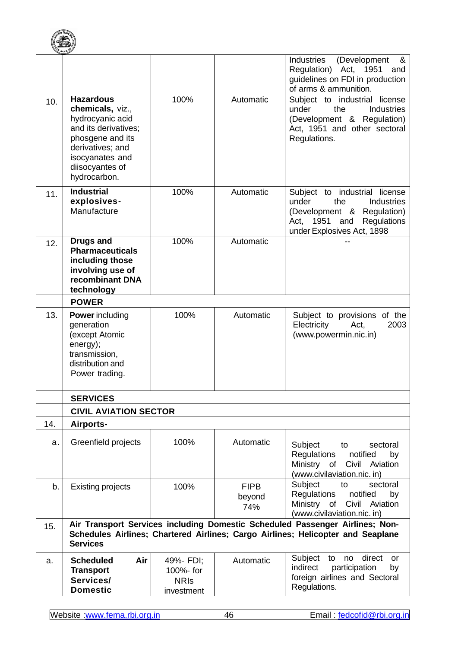

|     |                                                                                                                                                                                |                                                     |                              | Industries<br>(Development<br>&<br>Regulation) Act, 1951<br>and<br>guidelines on FDI in production<br>of arms & ammunition.                                          |
|-----|--------------------------------------------------------------------------------------------------------------------------------------------------------------------------------|-----------------------------------------------------|------------------------------|----------------------------------------------------------------------------------------------------------------------------------------------------------------------|
| 10. | <b>Hazardous</b><br>chemicals, viz.,<br>hydrocyanic acid<br>and its derivatives;<br>phosgene and its<br>derivatives; and<br>isocyanates and<br>diisocyantes of<br>hydrocarbon. | 100%                                                | Automatic                    | Subject to industrial license<br>under<br>the<br><b>Industries</b><br>(Development & Regulation)<br>Act, 1951 and other sectoral<br>Regulations.                     |
| 11. | <b>Industrial</b><br>explosives-<br>Manufacture                                                                                                                                | 100%                                                | Automatic                    | industrial license<br>Subject to<br>under<br>the<br><b>Industries</b><br>(Development & Regulation)<br>Act, 1951<br>Regulations<br>and<br>under Explosives Act, 1898 |
| 12. | <b>Drugs and</b><br><b>Pharmaceuticals</b><br>including those<br>involving use of<br>recombinant DNA<br>technology                                                             | 100%                                                | Automatic                    |                                                                                                                                                                      |
|     | <b>POWER</b>                                                                                                                                                                   |                                                     |                              |                                                                                                                                                                      |
| 13. | <b>Power</b> including<br>generation<br>(except Atomic<br>energy);<br>transmission,<br>distribution and<br>Power trading.                                                      | 100%                                                | Automatic                    | Subject to provisions of the<br>Electricity<br>2003<br>Act,<br>(www.powermin.nic.in)                                                                                 |
|     | <b>SERVICES</b>                                                                                                                                                                |                                                     |                              |                                                                                                                                                                      |
|     | <b>CIVIL AVIATION SECTOR</b>                                                                                                                                                   |                                                     |                              |                                                                                                                                                                      |
| 14. | Airports-                                                                                                                                                                      |                                                     |                              |                                                                                                                                                                      |
| a.  | Greenfield projects                                                                                                                                                            | 100%                                                | Automatic                    | Subject<br>sectoral<br>to<br><b>Regulations</b><br>notified<br>by<br>Ministry<br>Civil Aviation<br>of<br>(www.civilaviation.nic. in)                                 |
| b.  | <b>Existing projects</b>                                                                                                                                                       | 100%                                                | <b>FIPB</b><br>beyond<br>74% | Subject<br>sectoral<br>to<br><b>Regulations</b><br>notified<br>by<br>Ministry of<br>Civil Aviation<br>(www.civilaviation.nic. in)                                    |
| 15. | <b>Services</b>                                                                                                                                                                |                                                     |                              | Air Transport Services including Domestic Scheduled Passenger Airlines; Non-<br>Schedules Airlines; Chartered Airlines; Cargo Airlines; Helicopter and Seaplane      |
| a.  | Air<br><b>Scheduled</b><br><b>Transport</b><br>Services/<br><b>Domestic</b>                                                                                                    | 49%- FDI;<br>100%- for<br><b>NRIS</b><br>investment | Automatic                    | direct<br>Subject to<br>no<br>or<br>indirect<br>participation<br>by<br>foreign airlines and Sectoral<br>Regulations.                                                 |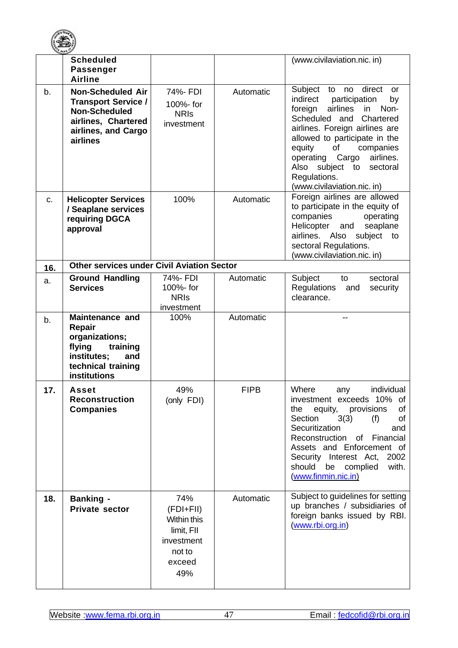

| <b>SANK</b> | <b>Scheduled</b><br><b>Passenger</b><br><b>Airline</b>                                                                                   |                                                                                        |             | (www.civilaviation.nic. in)                                                                                                                                                                                                                                                                                                                                   |
|-------------|------------------------------------------------------------------------------------------------------------------------------------------|----------------------------------------------------------------------------------------|-------------|---------------------------------------------------------------------------------------------------------------------------------------------------------------------------------------------------------------------------------------------------------------------------------------------------------------------------------------------------------------|
| b.          | <b>Non-Scheduled Air</b><br><b>Transport Service /</b><br><b>Non-Scheduled</b><br>airlines, Chartered<br>airlines, and Cargo<br>airlines | 74%- FDI<br>100%- for<br><b>NRIS</b><br>investment                                     | Automatic   | direct<br>Subject<br>no<br>to<br>or<br>indirect<br>participation<br>by<br>airlines<br>foreign<br>Non-<br>in<br>Scheduled and<br>Chartered<br>airlines. Foreign airlines are<br>allowed to participate in the<br>of<br>equity<br>companies<br>airlines.<br>operating<br>Cargo<br>subject to<br>Also<br>sectoral<br>Regulations.<br>(www.civilaviation.nic. in) |
| c.          | <b>Helicopter Services</b><br>/ Seaplane services<br>requiring DGCA<br>approval                                                          | 100%                                                                                   | Automatic   | Foreign airlines are allowed<br>to participate in the equity of<br>companies<br>operating<br>Helicopter<br>seaplane<br>and<br>airlines. Also<br>subject<br>to<br>sectoral Regulations.<br>(www.civilaviation.nic. in)                                                                                                                                         |
| 16.         | <b>Other services under Civil Aviation Sector</b>                                                                                        |                                                                                        |             |                                                                                                                                                                                                                                                                                                                                                               |
| a.          | <b>Ground Handling</b><br><b>Services</b>                                                                                                | 74%- FDI<br>100%- for<br><b>NRIS</b><br>investment                                     | Automatic   | Subject<br>sectoral<br>to<br><b>Regulations</b><br>security<br>and<br>clearance.                                                                                                                                                                                                                                                                              |
| b.          | <b>Maintenance and</b><br>Repair<br>organizations;<br>flying<br>training<br>institutes;<br>and<br>technical training<br>institutions     | 100%                                                                                   | Automatic   |                                                                                                                                                                                                                                                                                                                                                               |
| 17.         | <b>Asset</b><br><b>Reconstruction</b><br><b>Companies</b>                                                                                | 49%<br>(only FDI)                                                                      | <b>FIPB</b> | Where<br>individual<br>any<br>investment exceeds 10% of<br>equity,<br>provisions<br>of<br>the<br>Section<br>3(3)<br>(f)<br>of<br>Securitization<br>and<br>Reconstruction<br>of Financial<br>Assets and Enforcement of<br>Security Interest Act,<br>2002<br>should<br>with.<br>be complied<br>(www.finmin.nic.in)                                              |
| 18.         | <b>Banking -</b><br><b>Private sector</b>                                                                                                | 74%<br>(FDI+FII)<br>Within this<br>limit, FII<br>investment<br>not to<br>exceed<br>49% | Automatic   | Subject to guidelines for setting<br>up branches / subsidiaries of<br>foreign banks issued by RBI.<br>(www.rbi.org.in)                                                                                                                                                                                                                                        |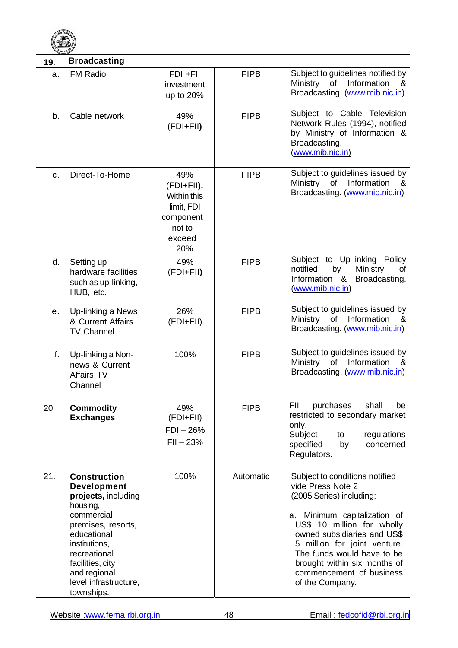

| 19.          | <b>Broadcasting</b>                                                                                                                                                                                                                         |                                                                                               |             |                                                                                                                                                                                                                                                                                                                              |
|--------------|---------------------------------------------------------------------------------------------------------------------------------------------------------------------------------------------------------------------------------------------|-----------------------------------------------------------------------------------------------|-------------|------------------------------------------------------------------------------------------------------------------------------------------------------------------------------------------------------------------------------------------------------------------------------------------------------------------------------|
| a.           | <b>FM Radio</b>                                                                                                                                                                                                                             | $FDI + FII$<br>investment<br>up to 20%                                                        | <b>FIPB</b> | Subject to guidelines notified by<br>Information<br>Ministry<br>of<br>&<br>Broadcasting. (www.mib.nic.in)                                                                                                                                                                                                                    |
| b.           | Cable network                                                                                                                                                                                                                               | 49%<br>(FDI+FII)                                                                              | <b>FIPB</b> | Subject to Cable Television<br>Network Rules (1994), notified<br>by Ministry of Information &<br>Broadcasting.<br>(www.mib.nic.in)                                                                                                                                                                                           |
| c.           | Direct-To-Home                                                                                                                                                                                                                              | 49%<br>(FDI+FII).<br><b>Within this</b><br>limit, FDI<br>component<br>not to<br>exceed<br>20% | <b>FIPB</b> | Subject to guidelines issued by<br>Ministry<br>of<br>Information<br>&<br>Broadcasting. (www.mib.nic.in)                                                                                                                                                                                                                      |
| d.           | Setting up<br>hardware facilities<br>such as up-linking,<br>HUB, etc.                                                                                                                                                                       | 49%<br>(FDI+FII)                                                                              | <b>FIPB</b> | Subject to Up-linking Policy<br>notified<br>by<br>Ministry<br>of<br>Information &<br>Broadcasting.<br>(www.mib.nic.in)                                                                                                                                                                                                       |
| е.           | Up-linking a News<br>& Current Affairs<br><b>TV Channel</b>                                                                                                                                                                                 | 26%<br>(FDI+FII)                                                                              | <b>FIPB</b> | Subject to guidelines issued by<br>Information<br>Ministry<br>of<br>&<br>Broadcasting. (www.mib.nic.in)                                                                                                                                                                                                                      |
| $f_{\rm{r}}$ | Up-linking a Non-<br>news & Current<br>Affairs TV<br>Channel                                                                                                                                                                                | 100%                                                                                          | <b>FIPB</b> | Subject to guidelines issued by<br>Ministry of<br>Information<br>&<br>Broadcasting. (www.mib.nic.in)                                                                                                                                                                                                                         |
| 20.          | <b>Commodity</b><br><b>Exchanges</b>                                                                                                                                                                                                        | 49%<br>(FDI+FII)<br>$FDI - 26%$<br>$FII - 23%$                                                | <b>FIPB</b> | purchases<br>FII<br>shall<br>be<br>restricted to secondary market<br>only.<br>Subject<br>regulations<br>to<br>specified<br>by<br>concerned<br>Regulators.                                                                                                                                                                    |
| 21.          | <b>Construction</b><br><b>Development</b><br>projects, including<br>housing,<br>commercial<br>premises, resorts,<br>educational<br>institutions,<br>recreational<br>facilities, city<br>and regional<br>level infrastructure,<br>townships. | 100%                                                                                          | Automatic   | Subject to conditions notified<br>vide Press Note 2<br>(2005 Series) including:<br>Minimum capitalization of<br>а.<br>US\$ 10 million for wholly<br>owned subsidiaries and US\$<br>5 million for joint venture.<br>The funds would have to be<br>brought within six months of<br>commencement of business<br>of the Company. |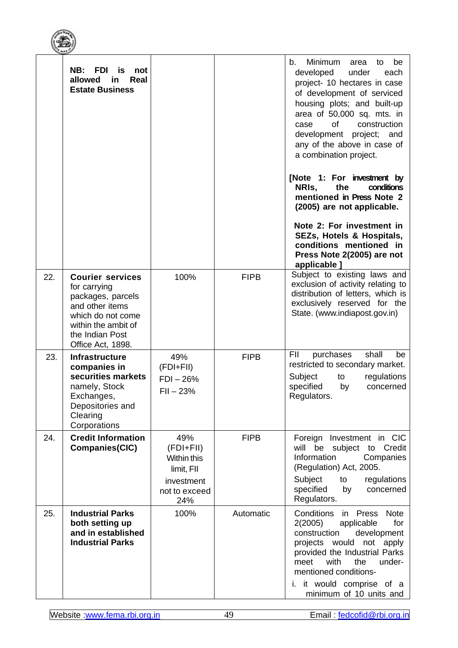|     | NB:<br><b>FDI</b><br>is<br>not<br>allowed<br>Real<br>in<br><b>Estate Business</b>                                                                                   |                                                                                        |             | Minimum<br>be<br>b.<br>area<br>to<br>developed<br>under<br>each<br>project- 10 hectares in case<br>of development of serviced<br>housing plots; and built-up<br>area of 50,000 sq. mts. in<br><b>of</b><br>construction<br>case<br>development project; and<br>any of the above in case of<br>a combination project.<br>[Note 1: For investment by<br>NRIS,<br>the<br>conditions<br>mentioned in Press Note 2<br>(2005) are not applicable.<br>Note 2: For investment in<br>SEZs, Hotels & Hospitals,<br>conditions mentioned in<br>Press Note 2(2005) are not<br>applicable ] |
|-----|---------------------------------------------------------------------------------------------------------------------------------------------------------------------|----------------------------------------------------------------------------------------|-------------|--------------------------------------------------------------------------------------------------------------------------------------------------------------------------------------------------------------------------------------------------------------------------------------------------------------------------------------------------------------------------------------------------------------------------------------------------------------------------------------------------------------------------------------------------------------------------------|
| 22. | <b>Courier services</b><br>for carrying<br>packages, parcels<br>and other items<br>which do not come<br>within the ambit of<br>the Indian Post<br>Office Act, 1898. | 100%                                                                                   | <b>FIPB</b> | Subject to existing laws and<br>exclusion of activity relating to<br>distribution of letters, which is<br>exclusively reserved for the<br>State. (www.indiapost.gov.in)                                                                                                                                                                                                                                                                                                                                                                                                        |
| 23. | <b>Infrastructure</b><br>companies in<br>securities markets<br>namely, Stock<br>Exchanges,<br>Depositories and<br>Clearing<br>Corporations                          | 49%<br>$(FDI + FII)$<br>$FDI - 26%$<br>$FII - 23%$                                     | <b>FIPB</b> | FII<br>purchases<br>shall<br>be<br>restricted to secondary market.<br>Subject<br>regulations<br>to<br>specified<br>by<br>concerned<br>Regulators.                                                                                                                                                                                                                                                                                                                                                                                                                              |
| 24. | <b>Credit Information</b><br>Companies(CIC)                                                                                                                         | 49%<br>$(FDI + FI)$<br>Within this<br>limit, FII<br>investment<br>not to exceed<br>24% | <b>FIPB</b> | Foreign Investment in CIC<br>be<br>will<br>subject to Credit<br>Information<br>Companies<br>(Regulation) Act, 2005.<br>Subject<br>regulations<br>to<br>specified<br>by<br>concerned<br>Regulators.                                                                                                                                                                                                                                                                                                                                                                             |
| 25. | <b>Industrial Parks</b><br>both setting up<br>and in established<br><b>Industrial Parks</b>                                                                         | 100%                                                                                   | Automatic   | Conditions<br>Press<br><b>Note</b><br>in<br>2(2005)<br>for<br>applicable<br>construction<br>development<br>projects would<br>not apply<br>provided the Industrial Parks<br>with<br>the<br>under-<br>meet<br>mentioned conditions-<br>i. it would comprise of a<br>minimum of 10 units and                                                                                                                                                                                                                                                                                      |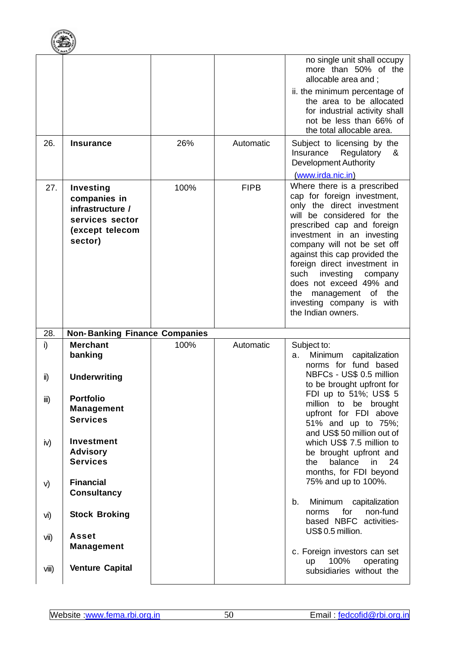

| 26.  | <b>Insurance</b>                                                                               | 26%  | Automatic   | no single unit shall occupy<br>more than 50% of the<br>allocable area and ;<br>ii. the minimum percentage of<br>the area to be allocated<br>for industrial activity shall<br>not be less than 66% of<br>the total allocable area.<br>Subject to licensing by the<br>Insurance<br>Regulatory<br>&<br><b>Development Authority</b>                                                                                                                     |
|------|------------------------------------------------------------------------------------------------|------|-------------|------------------------------------------------------------------------------------------------------------------------------------------------------------------------------------------------------------------------------------------------------------------------------------------------------------------------------------------------------------------------------------------------------------------------------------------------------|
| 27.  | Investing<br>companies in<br>infrastructure /<br>services sector<br>(except telecom<br>sector) | 100% | <b>FIPB</b> | (www.irda.nic.in)<br>Where there is a prescribed<br>cap for foreign investment,<br>only the direct investment<br>will be considered for the<br>prescribed cap and foreign<br>investment in an investing<br>company will not be set off<br>against this cap provided the<br>foreign direct investment in<br>such<br>investing<br>company<br>does not exceed 49% and<br>management of<br>the<br>the<br>investing company is with<br>the Indian owners. |
| 28.  | <b>Non-Banking Finance Companies</b>                                                           |      |             |                                                                                                                                                                                                                                                                                                                                                                                                                                                      |
| i)   | <b>Merchant</b>                                                                                |      |             |                                                                                                                                                                                                                                                                                                                                                                                                                                                      |
| ii)  | banking<br><b>Underwriting</b>                                                                 | 100% | Automatic   | Subject to:<br>Minimum<br>capitalization<br>a.<br>norms for fund based<br>NBFCs - US\$ 0.5 million<br>to be brought upfront for                                                                                                                                                                                                                                                                                                                      |
| iii) | <b>Portfolio</b><br><b>Management</b><br><b>Services</b>                                       |      |             | FDI up to 51%; US\$ 5<br>million to be brought<br>upfront for FDI above<br>51% and up to 75%;                                                                                                                                                                                                                                                                                                                                                        |
| iv)  | <b>Investment</b><br><b>Advisory</b><br><b>Services</b>                                        |      |             | and US\$ 50 million out of<br>which US\$ 7.5 million to<br>be brought upfront and<br>balance<br>the<br>in<br>24<br>months, for FDI beyond                                                                                                                                                                                                                                                                                                            |
| V)   | <b>Financial</b><br><b>Consultancy</b>                                                         |      |             | 75% and up to 100%.                                                                                                                                                                                                                                                                                                                                                                                                                                  |
| vi)  | <b>Stock Broking</b>                                                                           |      |             | Minimum<br>capitalization<br>b.<br>for<br>non-fund<br>norms<br>based NBFC activities-                                                                                                                                                                                                                                                                                                                                                                |
| vii) | <b>Asset</b><br><b>Management</b>                                                              |      |             | US\$ 0.5 million.<br>c. Foreign investors can set<br>100%<br>operating<br>up                                                                                                                                                                                                                                                                                                                                                                         |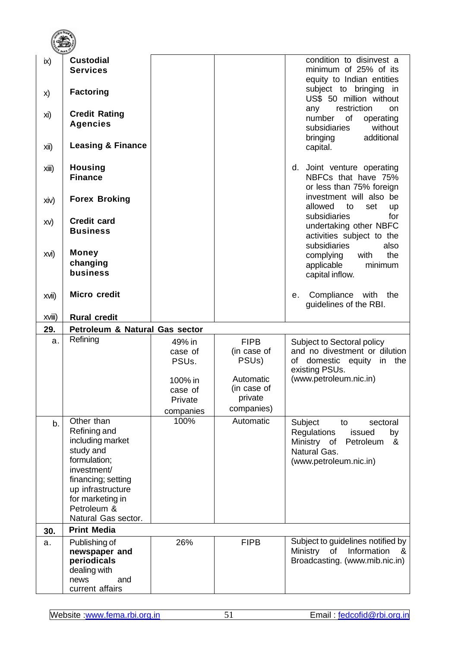| ix)    | <b>Custodial</b><br><b>Services</b>                                                                                                                                      |                                         |                                                  | condition to disinvest a<br>minimum of 25% of its<br>equity to Indian entities                                                      |
|--------|--------------------------------------------------------------------------------------------------------------------------------------------------------------------------|-----------------------------------------|--------------------------------------------------|-------------------------------------------------------------------------------------------------------------------------------------|
| X)     | <b>Factoring</b>                                                                                                                                                         |                                         |                                                  | subject to bringing<br>in<br>US\$ 50 million without                                                                                |
| xi)    | <b>Credit Rating</b><br><b>Agencies</b><br><b>Leasing &amp; Finance</b>                                                                                                  |                                         |                                                  | restriction<br>any<br><b>on</b><br>number<br>of<br>operating<br>without<br>subsidiaries<br>additional<br>bringing                   |
| Xii)   |                                                                                                                                                                          |                                         |                                                  | capital.                                                                                                                            |
| xiii)  | <b>Housing</b><br><b>Finance</b>                                                                                                                                         |                                         |                                                  | Joint venture operating<br>d.<br>NBFCs that have 75%<br>or less than 75% foreign                                                    |
| xiv)   | <b>Forex Broking</b>                                                                                                                                                     |                                         |                                                  | investment will also be<br>allowed<br>to<br>set<br><b>up</b>                                                                        |
| XV)    | <b>Credit card</b><br><b>Business</b>                                                                                                                                    |                                         |                                                  | subsidiaries<br>for<br>undertaking other NBFC<br>activities subject to the<br>subsidiaries<br>also                                  |
| XVI)   | <b>Money</b><br>changing<br>business                                                                                                                                     |                                         |                                                  | the<br>complying<br>with<br>applicable<br>minimum<br>capital inflow.                                                                |
| xvii)  | <b>Micro credit</b>                                                                                                                                                      |                                         |                                                  | Compliance with<br>the<br>е.<br>guidelines of the RBI.                                                                              |
|        |                                                                                                                                                                          |                                         |                                                  |                                                                                                                                     |
| XVIII) | <b>Rural credit</b>                                                                                                                                                      |                                         |                                                  |                                                                                                                                     |
| 29.    | Petroleum & Natural Gas sector                                                                                                                                           |                                         |                                                  |                                                                                                                                     |
| a.     | Refining                                                                                                                                                                 | 49% in<br>case of<br>PSU <sub>s</sub> . | <b>FIPB</b><br>(in case of<br>PSU <sub>s</sub> ) | Subject to Sectoral policy<br>and no divestment or dilution<br>domestic equity<br>the<br>οf<br>in<br>existing PSUs.                 |
|        |                                                                                                                                                                          | 100% in<br>case of<br>Private           | Automatic<br>(in case of<br>private              | (www.petroleum.nic.in)                                                                                                              |
| b.     | Other than<br>Refining and<br>including market<br>study and<br>formulation;<br>investment/<br>financing; setting<br>up infrastructure<br>for marketing in<br>Petroleum & | companies<br>100%                       | companies)<br>Automatic                          | Subject<br>sectoral<br>to<br>Regulations<br>issued<br>by<br>Ministry of<br>Petroleum<br>&<br>Natural Gas.<br>(www.petroleum.nic.in) |
|        | Natural Gas sector.                                                                                                                                                      |                                         |                                                  |                                                                                                                                     |
| 30.    | <b>Print Media</b>                                                                                                                                                       |                                         |                                                  |                                                                                                                                     |
| a.     | Publishing of<br>newspaper and<br>periodicals<br>dealing with<br>news<br>and<br>current affairs                                                                          | 26%                                     | <b>FIPB</b>                                      | Subject to guidelines notified by<br>Information<br>Ministry<br>of<br>&<br>Broadcasting. (www.mib.nic.in)                           |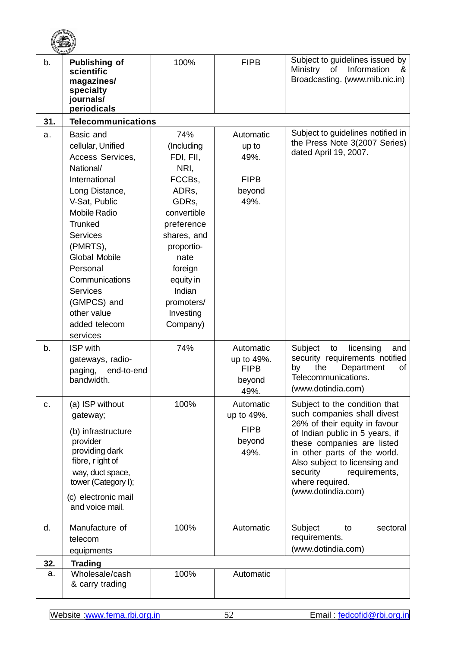|     | <b>THE BANK OF</b>                                                                                                                                                                                                                                                                                                |                                                                                                                                                                                                               |                                                             |                                                                                                                                                                                                                                                                                                       |
|-----|-------------------------------------------------------------------------------------------------------------------------------------------------------------------------------------------------------------------------------------------------------------------------------------------------------------------|---------------------------------------------------------------------------------------------------------------------------------------------------------------------------------------------------------------|-------------------------------------------------------------|-------------------------------------------------------------------------------------------------------------------------------------------------------------------------------------------------------------------------------------------------------------------------------------------------------|
| b.  | <b>Publishing of</b><br>scientific<br>magazines/<br>specialty<br>journals/<br>periodicals                                                                                                                                                                                                                         | 100%                                                                                                                                                                                                          | <b>FIPB</b>                                                 | Subject to guidelines issued by<br><b>Ministry</b><br>of<br>Information<br>&<br>Broadcasting. (www.mib.nic.in)                                                                                                                                                                                        |
| 31. | <b>Telecommunications</b>                                                                                                                                                                                                                                                                                         |                                                                                                                                                                                                               |                                                             |                                                                                                                                                                                                                                                                                                       |
| a.  | Basic and<br>cellular, Unified<br>Access Services,<br>National/<br>International<br>Long Distance,<br>V-Sat, Public<br><b>Mobile Radio</b><br>Trunked<br><b>Services</b><br>(PMRTS),<br>Global Mobile<br>Personal<br>Communications<br><b>Services</b><br>(GMPCS) and<br>other value<br>added telecom<br>services | 74%<br>(Including<br>FDI, FII,<br>NRI,<br>FCCBs,<br>ADRs,<br>GDRs,<br>convertible<br>preference<br>shares, and<br>proportio-<br>nate<br>foreign<br>equity in<br>Indian<br>promoters/<br>Investing<br>Company) | Automatic<br>up to<br>49%.<br><b>FIPB</b><br>beyond<br>49%. | Subject to guidelines notified in<br>the Press Note 3(2007 Series)<br>dated April 19, 2007.                                                                                                                                                                                                           |
| b.  | <b>ISP</b> with<br>gateways, radio-<br>end-to-end<br>paging,<br>bandwidth.                                                                                                                                                                                                                                        | 74%                                                                                                                                                                                                           | Automatic<br>up to 49%.<br><b>FIPB</b><br>beyond<br>49%.    | Subject<br>licensing<br>to<br>and<br>security requirements notified<br>Department<br>by<br>the<br>оf<br>Telecommunications.<br>(www.dotindia.com)                                                                                                                                                     |
| c.  | (a) ISP without<br>gateway;<br>(b) infrastructure<br>provider<br>providing dark<br>fibre, r ight of<br>way, duct space,<br>tower (Category I);<br>(c) electronic mail<br>and voice mail.                                                                                                                          | 100%                                                                                                                                                                                                          | Automatic<br>up to 49%.<br><b>FIPB</b><br>beyond<br>49%.    | Subject to the condition that<br>such companies shall divest<br>26% of their equity in favour<br>of Indian public in 5 years, if<br>these companies are listed<br>in other parts of the world.<br>Also subject to licensing and<br>security<br>requirements,<br>where required.<br>(www.dotindia.com) |
| d.  | Manufacture of<br>telecom<br>equipments                                                                                                                                                                                                                                                                           | 100%                                                                                                                                                                                                          | Automatic                                                   | Subject<br>sectoral<br>to<br>requirements.<br>(www.dotindia.com)                                                                                                                                                                                                                                      |
| 32. | <b>Trading</b>                                                                                                                                                                                                                                                                                                    |                                                                                                                                                                                                               |                                                             |                                                                                                                                                                                                                                                                                                       |
| a.  | Wholesale/cash<br>& carry trading                                                                                                                                                                                                                                                                                 | 100%                                                                                                                                                                                                          | Automatic                                                   |                                                                                                                                                                                                                                                                                                       |

**CONTRACTOR**